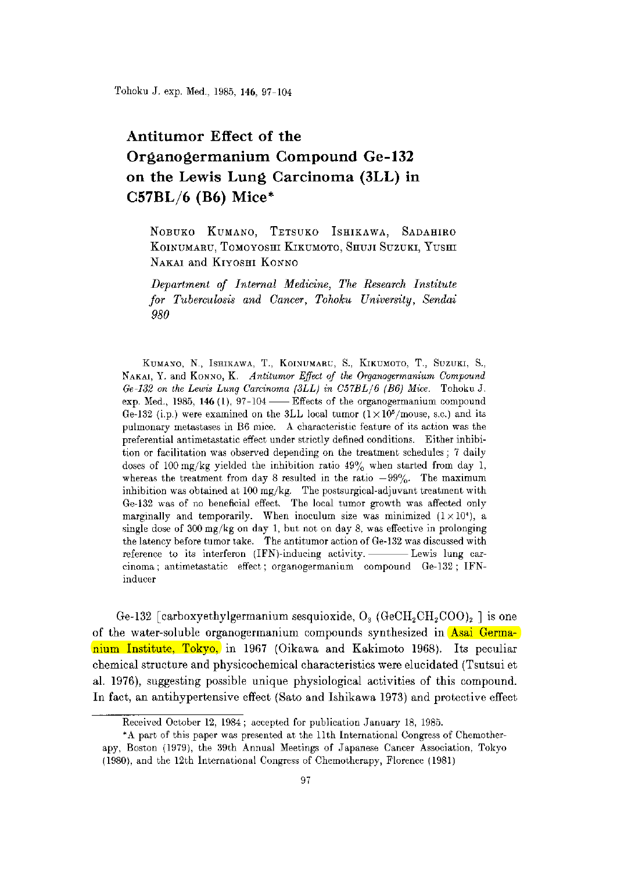Tohoku J. exp. Med., 1985, 146, 97-104

# Antitumor Effect of the Organogermanium Compound Ge-132 on the Lewis Lung Carcinoma (3LL) in C57BL/6 (B6) Mice\*

NOBUKO KUMANO, TETSUKO ISHIKAWA, SADAHIRO KOINUMARU, TOMOYOSHI KIKUMOTO, SHUJI SUZUKI, YUSHI NAKAI and KIYOSHI KONNO

Department of Internal Medicine, The Research Institute for Tuberculosis and Cancer, Tohoku University, Sendai 980

 KUMANO, N., ISHIKAWA, T., KOINUMARU, S., KIKUMOTO, T., SUZUKI, S., NAKAI, Y. and K0NN0, K. Antitumor Effect of the Organogermanium Compound Ge-132 on the Lewis Lung Carcinoma (3LL) in C57BL/6 (B6) Mice. Tohoku J. exp. Med., 1985, 146  $(1)$ , 97-104 — Effects of the organogermanium compound Ge-132 (i.p.) were examined on the 3LL local tumor  $(1 \times 10^5$ /mouse, s.c.) and its pulmonary metastases in B6 mice. A characteristic feature of its action was the preferential antimetastatic effect under strictly defined conditions. Either inhibition or facilitation was observed depending on the treatment schedules ; 7 daily doses of 100 mg/kg yielded the inhibition ratio  $49\%$  when started from day 1, whereas the treatment from day 8 resulted in the ratio  $-99\%$ . The maximum inhibition was obtained at 100 mg/kg. The postsurgical-adjuvant treatment with Ge-132 was of no beneficial effect. The local tumor growth was affected only marginally and temporarily. When inoculum size was minimized  $(1 \times 10^4)$ , a single dose of 300 mg/kg on day 1, but not on day 8, was effective in prolonging the latency before tumor take. The antitumor action of Ge-132 was discussed with reference to its interferon (IFN)-inducing activity. ---------- Lewis lung carcinoma ; antimetastatic effect ; organogermanium compound Ge-132 ; IFNinducer

Ge-132 [carboxyethylgermanium sesquioxide,  $O_3$  (GeCH<sub>2</sub>CH<sub>2</sub>COO)<sub>2</sub> ] is one of the water-soluble organogermanium compounds synthesized in Asai Germanium Institute, Tokyo, in 1967 (Oikawa and Kakimoto 1968). Its peculiar chemical structure and physicochemical characteristics were elucidated (Tsutsui et al. 1976), suggesting possible unique physiological activities of this compound. In fact, an antihypertensive effect (Sato and Ishikawa 1973) and protective effect

Received October 12, 1984; accepted for publication January 18, 1985.

 <sup>\*</sup>A part of this paper was presented at the 11th International Congress of Chemotherapy, Boston (1979), the 39th Annual Meetings of Japanese Cancer Association, Tokyo (1980), and the 12th International Congress of Chemotherapy, Florence (1981)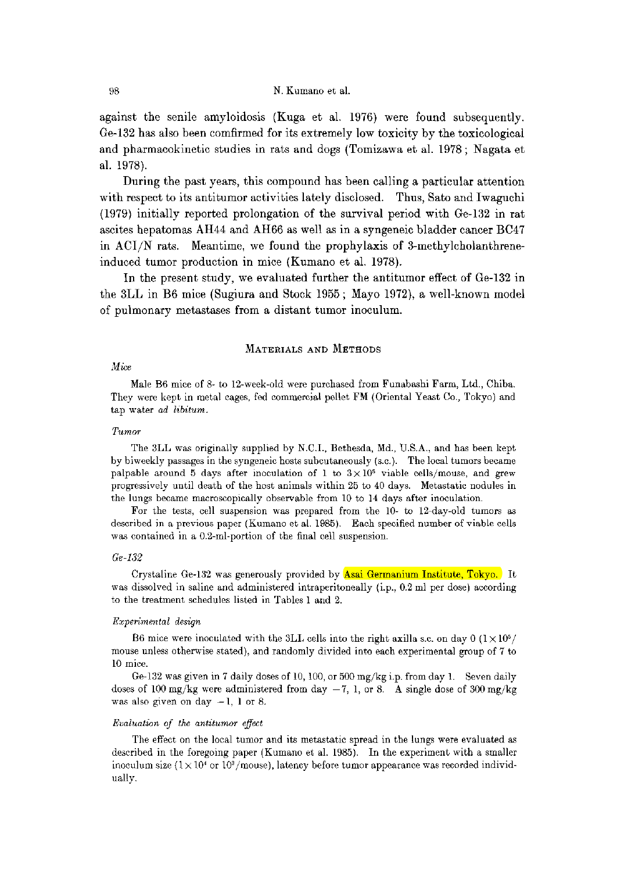against the senile amyloidosis (Kuga et al. 1976) were found subsequently. Ge-132 has also been comfirmed for its extremely low toxicity by the toxicological and pharmacokinetic studies in rats and dogs (Tomizawa et al. 1978; Nagata et al. 1978).

 During the past years, this compound has been calling a particular attention with respect to its antitumor activities lately disclosed. Thus, Sato and Iwaguchi (1979) initially reported prolongation of the survival period with Ge-132 in rat ascites hepatomas AH44 and AH66 as well as in a syngeneic bladder cancer BC47 in ACI/N rats. Meantime, we found the prophylaxis of 3-methylcholanthreneinduced tumor production in mice (Kumano et al. 1978).

 In the present study, we evaluated further the antitumor effect of Ge-132 in the 3LL in B6 mice (Sugiura and Stock 1955; Mayo 1972), a well-known model of pulmonary metastases from a distant tumor inoculum.

### MATERIALS AND METHODS

### Mice

 Male B6 mice of 8- to 12-week-old were purchased from Funabashi Farm, Ltd., Chiba. They were kept in metal cages, fed commercial pellet FM (Oriental Yeast Co., Tokyo) and tap water ad libitum.

### Tumor

 The 3LL was originally supplied by N.C.I., Bethesda, Md., U.S.A., and has been kept by biweekly passages in the syngeneic hosts subcutaneously (s.c.). The local tumors became palpable around 5 days after inoculation of 1 to  $3 \times 10^5$  viable cells/mouse, and grew progressively until death of the host animals within 25 to 40 days. Metastatic nodules in the lungs became macroscopically observable from 10 to 14 days after inoculation.

 For the tests, cell suspension was prepared from the 10- to 12-day-old tumors as described in a previous paper (Kumano et al. 1985). Each specified number of viable cells was contained in a 0.2-ml-portion of the final cell suspension.

### Ge-132

 Crystaline Ge-132 was generously provided by Asai Germanium Institute, Tokyo. It was dissolved in saline and administered intraperitoneally (i.p., 0.2 ml per dose) according to the treatment schedules listed in Tables 1 and 2.

### Experimental design

B6 mice were inoculated with the 3LL cells into the right axilla s.c. on day 0  $(1 \times 10^5)$ mouse unless otherwise stated), and randomly divided into each experimental group of 7 to 10 mice.

 Ge-132 was given in 7 daily doses of 10,100, or 500 mg/kg i.p. from day 1. Seven daily doses of 100 mg/kg were administered from day  $-7$ , 1, or 8. A single dose of 300 mg/kg was also given on day  $-1$ , 1 or 8.

### Evaluation of the antitumor effect

 The effect on the local tumor and its metastatic spread in the lungs were evaluated as described in the foregoing paper (Kumano et al. 1985). In the experiment with a smaller inoculum size  $(1 \times 10^4 \text{ or } 10^3/\text{mouse})$ , latency before tumor appearance was recorded individually.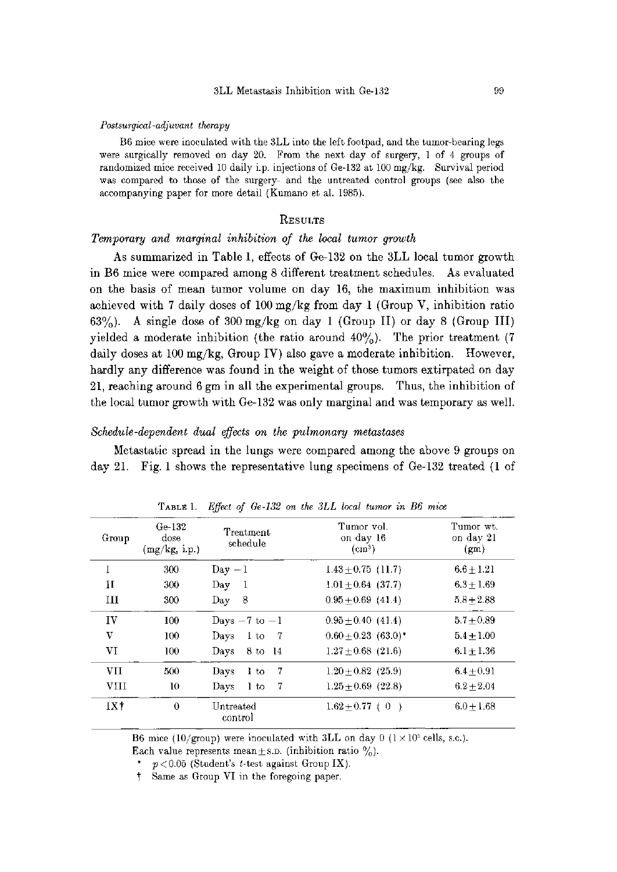#### Postsurgical-adjuvant therapy

 B6 mice were inoculated with the 3LL into the left footpad, and the tumor-bearing legs were surgically removed on day 20. From the next day of surgery, 1 of 4 groups of randomized mice received 10 daily i.p. injections of Ge-132 at 100 mg/kg. Survival period was compared to those of the surgery- and the untreated control groups (see also the accompanying paper for more detail (Kumano et al. 1985).

# **RESULTS**

### Temporary and marginal inhibition of the local tumor growth

 As summarized in Table 1, effects of Ge-132 on the 3LL local tumor growth in B6 mice were compared among 8 different treatment schedules. As evaluated on the basis of mean tumor volume on day 16, the maximum inhibition was achieved with 7 daily doses of 100 mg/kg from day 1 (Group V, inhibition ratio 63%). A single dose of 300 mg/kg on day 1 (Group II) or day 8 (Group III) yielded a moderate inhibition (the ratio around  $40\%$ ). The prior treatment (7) daily doses at 100 mg/kg, Group IV) also gave a moderate inhibition. However, hardly any difference was found in the weight of those tumors extirpated on day 21, reaching around 6 gm in all the experimental groups. Thus, the inhibition of the local tumor growth with Ge-132 was only marginal and was temporary as well.

# Schedule-dependent dual effects on the pulmonary metastases

 Metastatic spread in the lungs were compared among the above 9 groups on day 21. Fig. l shows the representative lung specimens of Ge-132 treated (1 of

|              |                                 | ຶ                             |                                          |                                             |
|--------------|---------------------------------|-------------------------------|------------------------------------------|---------------------------------------------|
| Group        | Ge-132<br>dose<br>(mg/kg, 1.p.) | Treatment<br>schedule         | Tumor vol.<br>on day 16<br>$\text{cm}^3$ | Tumor wt.<br>on day 21<br>(g <sub>m</sub> ) |
| 1            | 300                             | $Day -1$                      | $1.43 + 0.75$ (11.7)                     | $6.6 \pm 1.21$                              |
| $\mathbf{H}$ | 300                             | Day<br>- 1                    | $1.01 + 0.64$ (37.7)                     | $6.3 + 1.69$                                |
| HН           | 300                             | 8<br>Day                      | $0.95 + 0.69$ (41.4)                     | $5.8 + 2.88$                                |
| IV           | 100                             | Days $-7$ to $-1$             | $0.95 \pm 0.40$ (41.4)                   | $5.7 + 0.89$                                |
| v            | 100                             | - 7<br>Davs<br>$1 \text{ to}$ | $0.60 + 0.23$ (63.0)*                    | $5.4 + 1.00$                                |
| VI           | 100                             | 8 to 14<br>Davs               | $1.27 + 0.68$ (21.6)                     | $6.1 + 1.36$                                |
| <b>VII</b>   | 500                             | 7<br>Davs<br>$1$ to           | $1.20 + 0.82$ (25.9)                     | $6.4 + 0.91$                                |
| <b>VIII</b>  | 10                              | 7<br>Days<br>1 to             | $1.25 \pm 0.69$ (22.8)                   | $6.2 + 2.04$                                |
| IX†          | $\theta$                        | Untreated<br>control          | $1.62 + 0.77$ (0<br>$\rightarrow$        | $6.0 + 1.68$                                |

TABLE 1. Effect of Ge-132 on the 3LL local tumor in B6 mice

B6 mice (10/group) were inoculated with 3LL on day 0 ( $1 \times 10^5$  cells, s.c.).

Each value represents mean  $\pm$  s.p. (inhibition ratio  $\%$ ).

\*  $p < 0.05$  (Student's t-test against Group IX).

† Same as Group VI in the foregoing paper.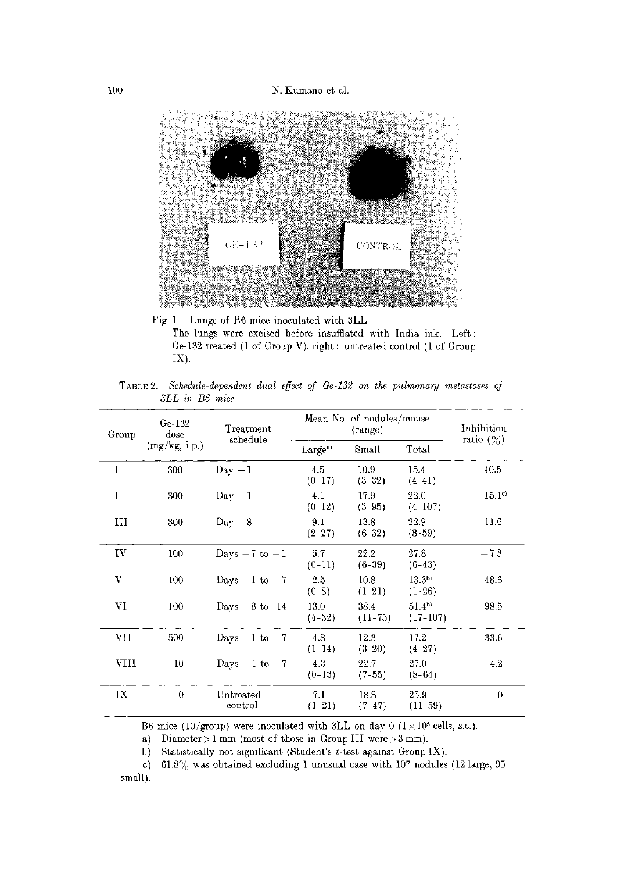100 N. Kumano et al.



 Fig. 1. Lungs of B6 mice inoculated with 3LL The lungs were excised before insufflated with India ink. Left: Ge-132 treated (1 of Group V), right : untreated control (1 of Group IX).

TABLE 2. Schedule-dependent dual effect of Ge-132 on the pulmonary metastases of 3LL in B6 mice

| Group       | Ge-132<br>dose | ${\rm Treatment}$<br>schedule              | Mean No. of nodules/mouse | Inhibition        |                               |                   |  |
|-------------|----------------|--------------------------------------------|---------------------------|-------------------|-------------------------------|-------------------|--|
|             | (mg/kg, i.p.)  |                                            | Large <sup>a</sup>        | Small             | Total                         | ratio $(%)$       |  |
| I           | 300            | $Day - 1$                                  | 4.5<br>$(0-17)$           | 10.9<br>$(3-32)$  | 15.4<br>$(4-41)$              | 40.5              |  |
| $_{\rm II}$ | 300            | Day<br>- 1                                 | 4.1<br>$(0-12)$           | 17.9<br>$(3-95)$  | 22.0<br>$(4-107)$             | 15.1 <sup>c</sup> |  |
| Ш           | 300            | -8<br>Day                                  | 9.1<br>$(2-27)$           | 13.8<br>$(6-32)$  | 22.9<br>$(8-59)$              | 11.6              |  |
| IV          | 100            | Days $-7$ to $-1$                          | 5.7<br>$(0-11)$           | 22.2<br>$(6-39)$  | 27.8<br>$(6-43)$              | $-7.3$            |  |
| V           | 100            | Days<br>$1\,\mathrm{to}$<br>- 7            | 2.5<br>$(0-8)$            | 10.8<br>$(1-21)$  | 13.3 <sup>b</sup><br>$(1-26)$ | 48.6              |  |
| VI          | 100            | 8 to 14<br>Days                            | 13.0<br>$(4-32)$          | 38.4<br>$(11-75)$ | $51.4^{b}$<br>$(17-107)$      | $-98.5$           |  |
| VII         | 500            | Days<br>1 to<br>-7                         | 4.8<br>$(1-14)$           | 12.3<br>$(3-20)$  | 17.2<br>$(4-27)$              | 33.6              |  |
| VIII        | 10             | Days<br>$1\,\mathrm{to}$<br>$\overline{1}$ | 4.3<br>$(0-13)$           | 22.7<br>$(7-55)$  | 27.0<br>$(8-64)$              | $-4.2$            |  |
| IX          | $\Omega$       | Untreated<br>control                       | 7.1<br>$(1-21)$           | 18.8<br>$(7-47)$  | 25.9<br>$(11-59)$             | $\theta$          |  |

B6 mice (10/group) were inoculated with 3LL on day 0 ( $1 \times 10^5$  cells, s.c.).

a) Diameter > 1 mm (most of those in Group III were > 3 mm).

b) Statistically not significant (Student's  $t$ -test against Group IX).

c)  $61.8\%$  was obtained excluding 1 unusual case with 107 nodules (12 large, 95 small).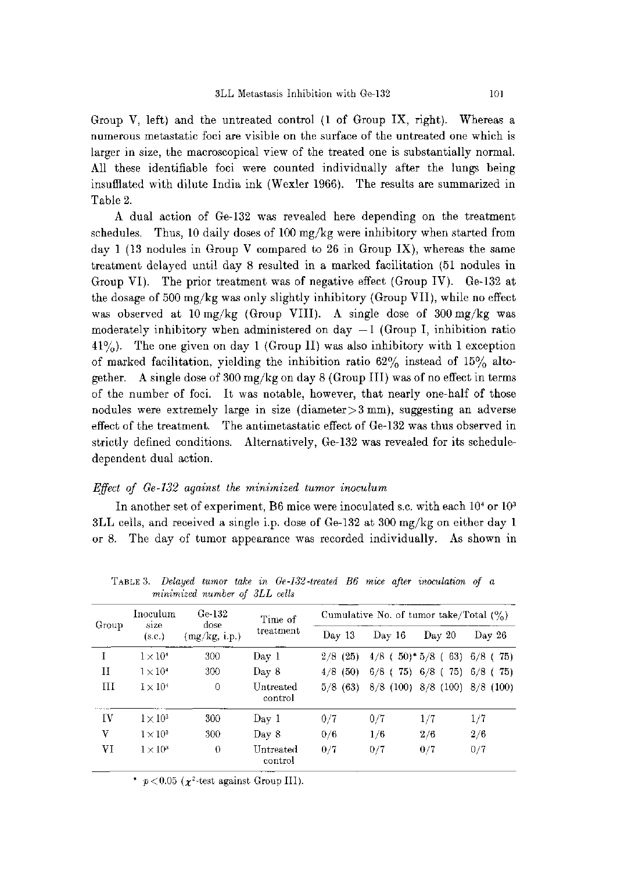Group V, left) and the untreated control (1 of Group IX, right). Whereas a numerous metastatic foci are visible on the surface of the untreated one which is larger in size, the macroscopical view of the treated one is substantially normal. All these identifiable foci were counted individually after the lungs being insufflated with dilute India ink (Wexler 1966). The results are summarized in Table 2.

 A dual action of Ge-132 was revealed here depending on the treatment schedules. Thus, 10 daily doses of 100 mg/kg were inhibitory when started from day 1 (13 nodules in Group V compared to 26 in Group IX), whereas the same treatment delayed until day 8 resulted in a marked facilitation (51 nodules in Group VI). The prior treatment was of negative effect (Group IV). Ge-132 at the dosage of 500 mg/kg was only slightly inhibitory (Group VII), while no effect was observed at 10 mg/kg (Group VIII). A single dose of 300 mg/kg was moderately inhibitory when administered on day  $-1$  (Group I, inhibition ratio  $41\%$ ). The one given on day 1 (Group II) was also inhibitory with 1 exception of marked facilitation, yielding the inhibition ratio  $62\%$  instead of  $15\%$  altogether. A single dose of 300 mg/kg on day 8 (Group III) was of no effect in terms of the number of foci. It was notable, however, that nearly one-half of those nodules were extremely large in size (diameter>3 mm), suggesting an adverse effect of the treatment. The antimetastatic effect of Ge-132 was thus observed in strictly defined conditions. Alternatively, Ge-132 was revealed for its scheduledependent dual action.

### Effect of Ge-132 against the minimized tumor inoculum

In another set of experiment, B6 mice were inoculated s.c. with each  $10<sup>4</sup>$  or  $10<sup>3</sup>$ 3LL cells, and received a single i.p. dose of Ge-132 at 300 mg/kg on either day 1 or 8. The day of tumor appearance was recorded individually. As shown in

|       | Inoculum        | Ge-132                | Time of                     | Cumulative No. of tumor take/Total $(% )$ |                |                                     |                |
|-------|-----------------|-----------------------|-----------------------------|-------------------------------------------|----------------|-------------------------------------|----------------|
| Group | size<br>(s.c.)  | dose<br>(mg/kg, i.p.) | treatment                   | Day 13                                    | Day 16         | $\mathrm{Dav}20$                    | Day $26$       |
|       | $1\times10^4$   | 300                   | Day 1                       | $2/8$ (25)                                | $4/8$ (        | $(50)^*$ 5/8 (<br>63)               | $6/8$ (75)     |
| Н     | $1 \times 10^4$ | 300                   | Day 8                       | (50)<br>4/8                               | 75)<br>$6/8$ ( | $6/8$ (75)                          | $6/8$ (<br>75) |
| Ш     | $1 \times 10^4$ | $\Omega$              | Untreated<br>control        | $5/8$ (63)                                |                | $8/8$ (100) $8/8$ (100) $8/8$ (100) |                |
| ΙV    | $1 \times 10^3$ | 300                   | Day 1                       | 0/7                                       | 0/7            | 1/7                                 | 1/7            |
| V     | $1\times10^3$   | 300                   | $\text{Day } 8$             | 0/6                                       | 1/6            | 2/6                                 | 2/6            |
| VI    | $1 \times 10^3$ | $\theta$              | <b>Untreated</b><br>control | 0/7                                       | 0/7            | 0/7                                 | 0/7            |

TABLE 3. Delayed tumor take in Ge -132 -treated B6 mice after inoculation of a minimized number of 3LL cells

\*  $p < 0.05$  ( $\chi^2$ -test against Group III).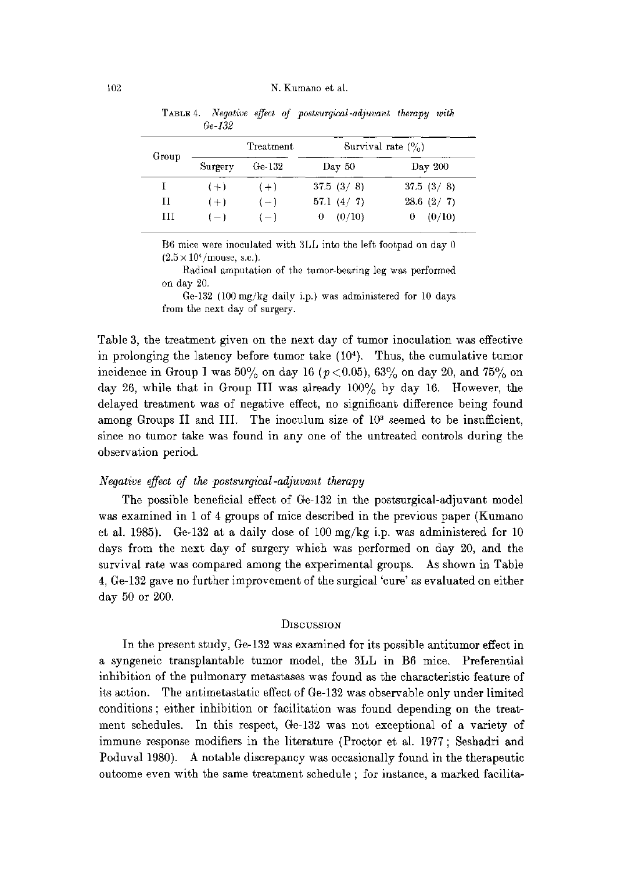| Group |         | Treatment | Survival rate $(\% )$ |           |  |
|-------|---------|-----------|-----------------------|-----------|--|
|       | Surgery | $Ge-132$  | Day 50                | Day 200   |  |
|       | $(+)$   | $(+)$     | 37.5(3/8)             | 37.5(3/8) |  |
| Н     | $(+)$   | $(-)$     | 57.1 $(4/7)$          | 28.6(2/7) |  |
| ĦТ    | $(-1)$  | $(-)$     | (0/10)<br>0           | (0/10)    |  |

TABLE 4. Negative effect of postsurgical -adjuvant therapy withGe-132

B6 mice were inoculated with 3LL into the left footpad on day 0  $(2.5 \times 10^{4} / \text{mouse}, \text{ s.e.}).$ 

Radical amputation of the tumor-bearing leg was performed on day 20.

Ge-132 (100 mg/kg daily i.p.) was administered for 10 days from the next day of surgery.

Table 3, the treatment given on the next day of tumor inoculation was effective in prolonging the latency before tumor take (104). Thus, the cumulative tumor incidence in Group I was  $50\%$  on day 16 ( $p < 0.05$ ),  $63\%$  on day 20, and  $75\%$  on day 26, while that in Group III was already 100% by day 16. However, the delayed treatment was of negative effect, no significant difference being found among Groups II and III. The inoculum size of  $10<sup>3</sup>$  seemed to be insufficient, since no tumor take was found in any one of the untreated controls during the observation period.

## Negative effect of the postsurgical-adjuvant therapy

 The possible beneficial effect of Ge-132 in the postsurgical-adjuvant model was examined in 1 of 4 groups of mice described in the previous paper (Kumano et al. 1985). Ge-132 at a daily dose of 100 mg/kg i.p. was administered for 10 days from the next day of surgery which was performed on day 20, and the survival rate was compared among the experimental groups. As shown in Table 4, Ge-132 gave no further improvement of the surgical `cure' as evaluated on either day 50 or 200.

### **DISCUSSION**

 In the present study, Ge-132 was examined for its possible antitumor effect in a syngeneic transplantable tumor model, the 3LL in B6 mice. Preferential inhibition of the pulmonary metastases was found as the characteristic feature of its action. The antimetastatic effect of Ge-132 was observable only under limited conditions ; either inhibition or facilitation was found depending on the treatment schedules. In this respect, Ge-132 was not exceptional of a variety of immune response modifiers in the literature (Proctor et al. 1977; Seshadri and Poduval 1980). A notable discrepancy was occasionally found in the therapeutic outcome even with the same treatment schedule ; for instance, a marked facilita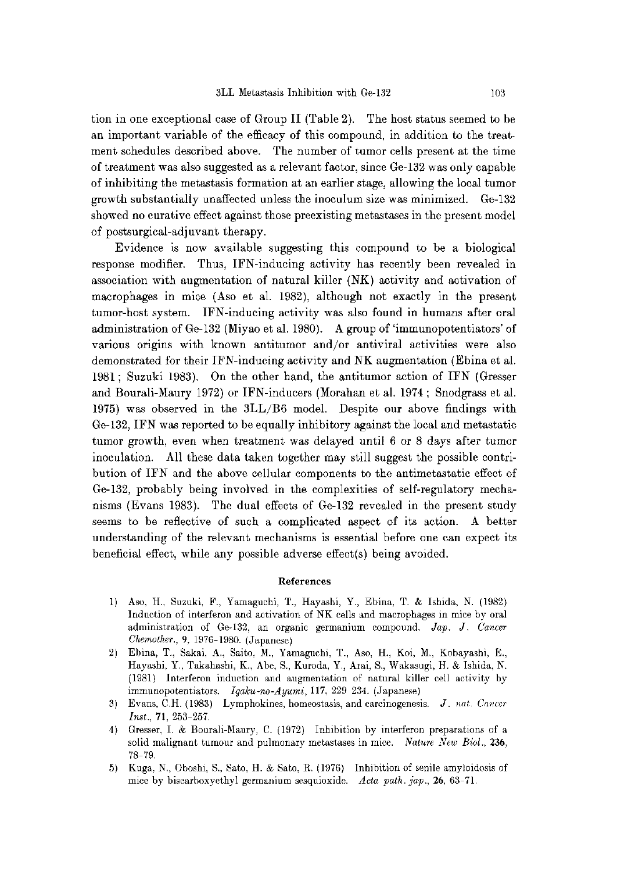tion in one exceptional case of Group II (Table 2). The host status seemed to be an important variable of the efficacy of this compound, in addition to the treatment schedules described above. The number of tumor cells present at the time of treatment was also suggested as a relevant factor, since Ge-132 was only capable of inhibiting the metastasis formation at an earlier stage, allowing the local tumor growth substantially unaffected unless the inoculum size was minimized. Ge-132 showed no curative effect against those preexisting metastases in the present model of postsurgical-adjuvant therapy.

 Evidence is now available suggesting this compound to be a biological response modifier. Thus, IFN-inducing activity has recently been revealed in association with augmentation of natural killer (NK) activity and activation of macrophages in mice (Aso et al. 1982), although not exactly in the present tumor-host system. IFN-inducing activity was also found in humans after oral administration of Ge-132 (Miyao et al. 1980). A group of 'immunopotentiators' of various origins with known antitumor and/or antiviral activities were also demonstrated for their IFN-inducing activity and NK augmentation (Ebina et al. 1981; Suzuki 1983). On the other hand, the antitumor action of IFN (Gresser and Bourali-Maury 1972) or IFN-inducers (Morahan et al. 1974 ; Snodgrass et al. 1975) was observed in the 3LL/B6 model. Despite our above findings with Ge-132, IFN was reported to be equally inhibitory against the local and metastatic tumor growth, even when treatment was delayed until 6 or 8 days after tumor inoculation. All these data taken together may still suggest the possible contribution of IFN and the above cellular components to the antimetastatic effect of Ge-132, probably being involved in the complexities of self-regulatory mechanisms (Evans 1983). The dual effects of Ge-132 revealed in the present study seems to be reflective of such a complicated aspect of its action. A better understanding of the relevant mechanisms is essential before one can expect its beneficial effect, while any possible adverse effect(s) being avoided.

### References

- 1) Aso, H., Suzuki, F., Yamaguchi, T., Hayashi, Y., Ebina, T. & Ishida, N. (1982) Induction of interferon and activation of NK cells and macrophages in mice by oral administration of Ge-132, an organic germanium compound. Jap. J. Cancer Chemother., 9, 1976-1980. (Japanese)
- 2) Ebina, T., Sakai, A., Saito, M., Yamaguchi, T., Aso, H., Koi, M., Kobayashi, E., Hayashi, Y., Takahashi, K., Abe, S., Kuroda, Y., Arai, S., Wakasugi, H. & Ishida, N. (1981) Interferon induction and augmentation of natural killer cell activity by immunopotentiators. Igaku-no-Ayumi, 117, 229-234. (Japanese)
- 3) Evans, C.H. (1983) Lymphokines, homeostasis, and carcinogenesis. J. nat. Cancer Inst., 71, 253-257.
- 4) Gresser, I. & Bourali-Maury, C. (1972) Inhibition by interferon preparations of a solid malignant tumour and pulmonary metastases in mice. Nature New Biol., 236, 78-79.
- 5) Kuga, N., Oboshi, S., Sato, H. & Sato, R. (1976) Inhibition of senile amyloidosis of mice by biscarboxyethyl germanium sesquioxide. Acta path. jap., 26, 63-71.